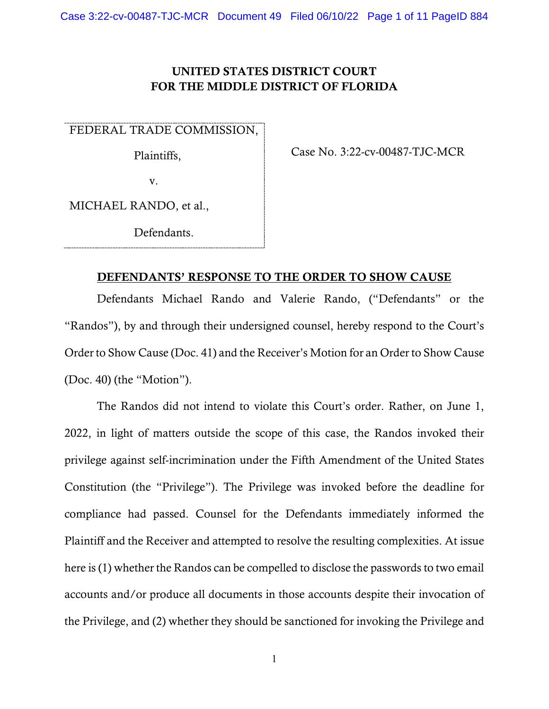## UNITED STATES DISTRICT COURT FOR THE MIDDLE DISTRICT OF FLORIDA

FEDERAL TRADE COMMISSION,

Plaintiffs,

Case No. 3:22-cv-00487-TJC-MCR

v.

MICHAEL RANDO, et al.,

Defendants.

### DEFENDANTS' RESPONSE TO THE ORDER TO SHOW CAUSE

Defendants Michael Rando and Valerie Rando, ("Defendants" or the "Randos"), by and through their undersigned counsel, hereby respond to the Court's Order to Show Cause (Doc. 41) and the Receiver's Motion for an Order to Show Cause (Doc. 40) (the "Motion").

The Randos did not intend to violate this Court's order. Rather, on June 1, 2022, in light of matters outside the scope of this case, the Randos invoked their privilege against self-incrimination under the Fifth Amendment of the United States Constitution (the "Privilege"). The Privilege was invoked before the deadline for compliance had passed. Counsel for the Defendants immediately informed the Plaintiff and the Receiver and attempted to resolve the resulting complexities. At issue here is (1) whether the Randos can be compelled to disclose the passwords to two email accounts and/or produce all documents in those accounts despite their invocation of the Privilege, and (2) whether they should be sanctioned for invoking the Privilege and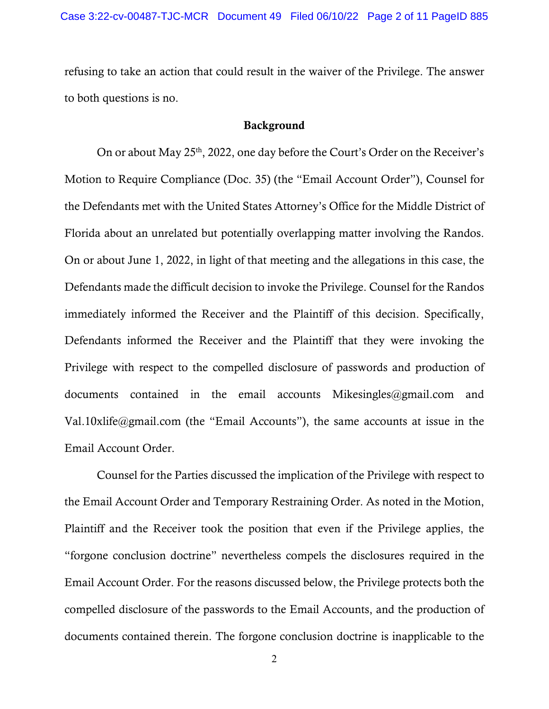refusing to take an action that could result in the waiver of the Privilege. The answer to both questions is no.

#### Background

On or about May  $25<sup>th</sup>$ , 2022, one day before the Court's Order on the Receiver's Motion to Require Compliance (Doc. 35) (the "Email Account Order"), Counsel for the Defendants met with the United States Attorney's Office for the Middle District of Florida about an unrelated but potentially overlapping matter involving the Randos. On or about June 1, 2022, in light of that meeting and the allegations in this case, the Defendants made the difficult decision to invoke the Privilege. Counsel for the Randos immediately informed the Receiver and the Plaintiff of this decision. Specifically, Defendants informed the Receiver and the Plaintiff that they were invoking the Privilege with respect to the compelled disclosure of passwords and production of documents contained in the email accounts Mikesingles@gmail.com and Val.10xlife@gmail.com (the "Email Accounts"), the same accounts at issue in the Email Account Order.

Counsel for the Parties discussed the implication of the Privilege with respect to the Email Account Order and Temporary Restraining Order. As noted in the Motion, Plaintiff and the Receiver took the position that even if the Privilege applies, the "forgone conclusion doctrine" nevertheless compels the disclosures required in the Email Account Order. For the reasons discussed below, the Privilege protects both the compelled disclosure of the passwords to the Email Accounts, and the production of documents contained therein. The forgone conclusion doctrine is inapplicable to the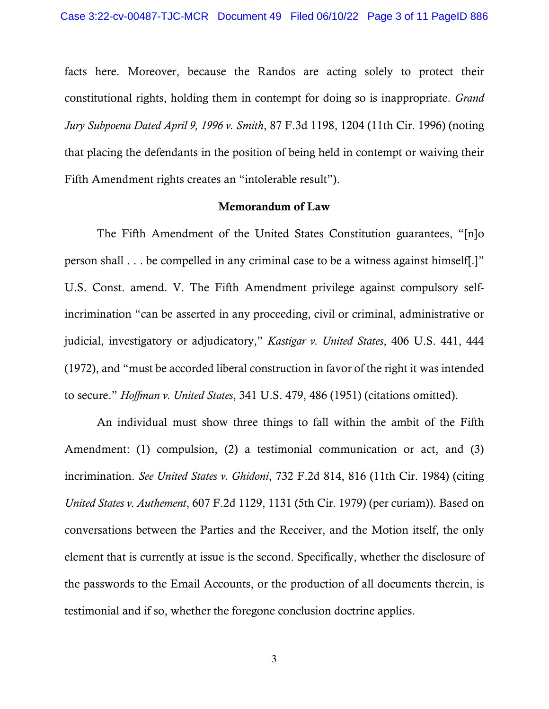facts here. Moreover, because the Randos are acting solely to protect their constitutional rights, holding them in contempt for doing so is inappropriate. *Grand Jury Subpoena Dated April 9, 1996 v. Smith*, 87 F.3d 1198, 1204 (11th Cir. 1996) (noting that placing the defendants in the position of being held in contempt or waiving their Fifth Amendment rights creates an "intolerable result").

#### Memorandum of Law

The Fifth Amendment of the United States Constitution guarantees, "[n]o person shall . . . be compelled in any criminal case to be a witness against himself[.]" U.S. Const. amend. V. The Fifth Amendment privilege against compulsory selfincrimination "can be asserted in any proceeding, civil or criminal, administrative or judicial, investigatory or adjudicatory," *Kastigar v. United States*, 406 U.S. 441, 444 (1972), and "must be accorded liberal construction in favor of the right it was intended to secure." *Hoffman v. United States*, 341 U.S. 479, 486 (1951) (citations omitted).

An individual must show three things to fall within the ambit of the Fifth Amendment: (1) compulsion, (2) a testimonial communication or act, and (3) incrimination. *See United States v. Ghidoni*, 732 F.2d 814, 816 (11th Cir. 1984) (citing *United States v. Authement*, 607 F.2d 1129, 1131 (5th Cir. 1979) (per curiam)). Based on conversations between the Parties and the Receiver, and the Motion itself, the only element that is currently at issue is the second. Specifically, whether the disclosure of the passwords to the Email Accounts, or the production of all documents therein, is testimonial and if so, whether the foregone conclusion doctrine applies.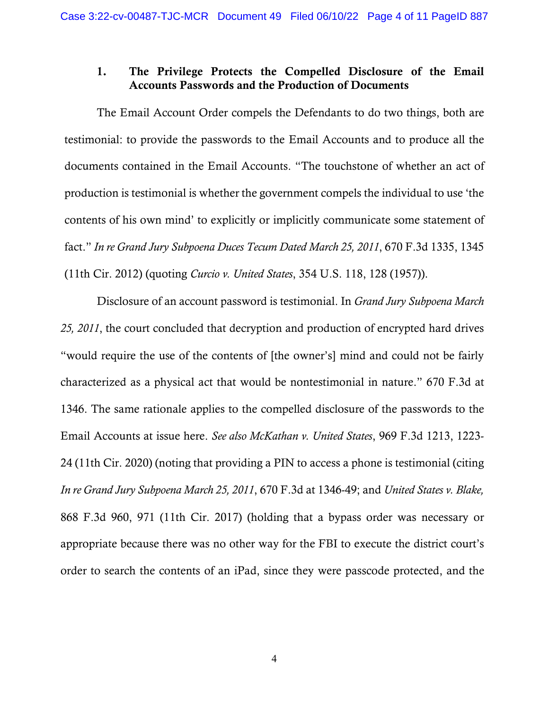# 1. The Privilege Protects the Compelled Disclosure of the Email Accounts Passwords and the Production of Documents

The Email Account Order compels the Defendants to do two things, both are testimonial: to provide the passwords to the Email Accounts and to produce all the documents contained in the Email Accounts. "The touchstone of whether an act of production is testimonial is whether the government compels the individual to use 'the contents of his own mind' to explicitly or implicitly communicate some statement of fact." *In re Grand Jury Subpoena Duces Tecum Dated March 25, 2011*, 670 F.3d 1335, 1345 (11th Cir. 2012) (quoting *Curcio v. United States*, 354 U.S. 118, 128 (1957)).

Disclosure of an account password is testimonial. In *Grand Jury Subpoena March 25, 2011*, the court concluded that decryption and production of encrypted hard drives "would require the use of the contents of [the owner's] mind and could not be fairly characterized as a physical act that would be nontestimonial in nature." 670 F.3d at 1346. The same rationale applies to the compelled disclosure of the passwords to the Email Accounts at issue here. *See also McKathan v. United States*, 969 F.3d 1213, 1223- 24 (11th Cir. 2020) (noting that providing a PIN to access a phone is testimonial (citing *In re Grand Jury Subpoena March 25, 2011*, 670 F.3d at 1346-49; and *United States v. Blake,* 868 F.3d 960, 971 (11th Cir. 2017) (holding that a bypass order was necessary or appropriate because there was no other way for the FBI to execute the district court's order to search the contents of an iPad, since they were passcode protected, and the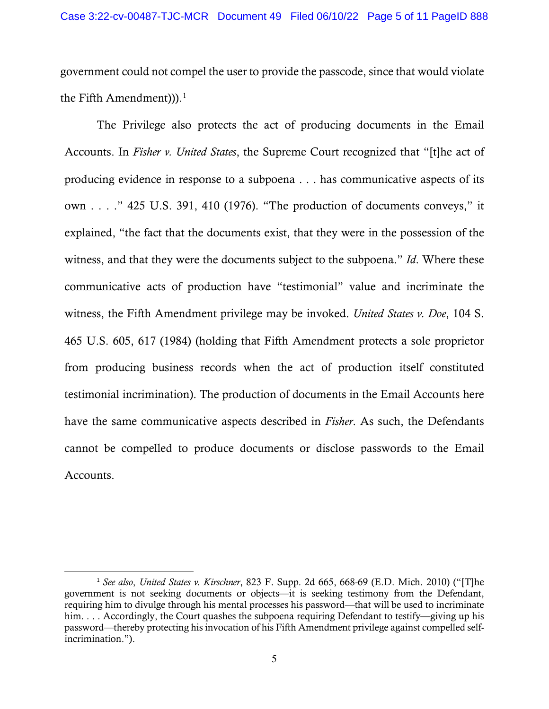government could not compel the user to provide the passcode, since that would violate the Fifth Amendment)).<sup>[1](#page-4-0)</sup>

The Privilege also protects the act of producing documents in the Email Accounts. In *Fisher v. United States*, the Supreme Court recognized that "[t]he act of producing evidence in response to a subpoena . . . has communicative aspects of its own . . . ." 425 U.S. 391, 410 (1976). "The production of documents conveys," it explained, "the fact that the documents exist, that they were in the possession of the witness, and that they were the documents subject to the subpoena." *Id*. Where these communicative acts of production have "testimonial" value and incriminate the witness, the Fifth Amendment privilege may be invoked. *United States v. Doe*, 104 S. 465 U.S. 605, 617 (1984) (holding that Fifth Amendment protects a sole proprietor from producing business records when the act of production itself constituted testimonial incrimination). The production of documents in the Email Accounts here have the same communicative aspects described in *Fisher*. As such, the Defendants cannot be compelled to produce documents or disclose passwords to the Email Accounts.

<span id="page-4-0"></span><sup>1</sup> *See also*, *United States v. Kirschner*, 823 F. Supp. 2d 665, 668-69 (E.D. Mich. 2010) ("[T]he government is not seeking documents or objects—it is seeking testimony from the Defendant, requiring him to divulge through his mental processes his password—that will be used to incriminate him. . . . Accordingly, the Court quashes the subpoena requiring Defendant to testify—giving up his password—thereby protecting his invocation of his Fifth Amendment privilege against compelled selfincrimination.").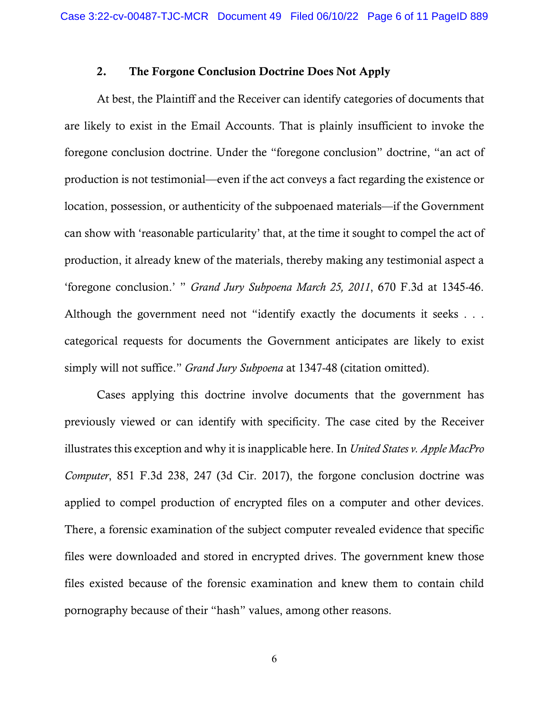### 2. The Forgone Conclusion Doctrine Does Not Apply

At best, the Plaintiff and the Receiver can identify categories of documents that are likely to exist in the Email Accounts. That is plainly insufficient to invoke the foregone conclusion doctrine. Under the "foregone conclusion" doctrine, "an act of production is not testimonial—even if the act conveys a fact regarding the existence or location, possession, or authenticity of the subpoenaed materials—if the Government can show with 'reasonable particularity' that, at the time it sought to compel the act of production, it already knew of the materials, thereby making any testimonial aspect a 'foregone conclusion.' " *Grand Jury Subpoena March 25, 2011*, 670 F.3d at 1345-46. Although the government need not "identify exactly the documents it seeks . . . categorical requests for documents the Government anticipates are likely to exist simply will not suffice." *Grand Jury Subpoena* at 1347-48 (citation omitted).

Cases applying this doctrine involve documents that the government has previously viewed or can identify with specificity. The case cited by the Receiver illustrates this exception and why it is inapplicable here. In *United States v. Apple MacPro Computer*, 851 F.3d 238, 247 (3d Cir. 2017), the forgone conclusion doctrine was applied to compel production of encrypted files on a computer and other devices. There, a forensic examination of the subject computer revealed evidence that specific files were downloaded and stored in encrypted drives. The government knew those files existed because of the forensic examination and knew them to contain child pornography because of their "hash" values, among other reasons.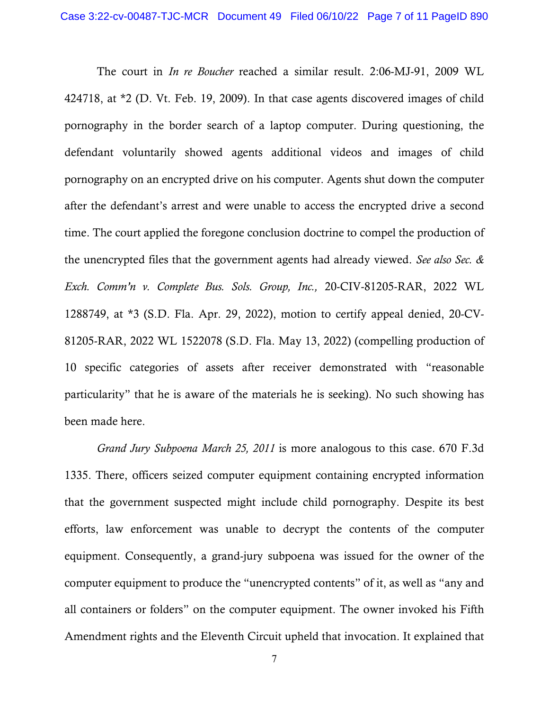The court in *In re Boucher* reached a similar result. 2:06-MJ-91, 2009 WL 424718, at \*2 (D. Vt. Feb. 19, 2009). In that case agents discovered images of child pornography in the border search of a laptop computer. During questioning, the defendant voluntarily showed agents additional videos and images of child pornography on an encrypted drive on his computer. Agents shut down the computer after the defendant's arrest and were unable to access the encrypted drive a second time. The court applied the foregone conclusion doctrine to compel the production of the unencrypted files that the government agents had already viewed. *See also Sec. & Exch. Comm'n v. Complete Bus. Sols. Group, Inc.,* 20-CIV-81205-RAR, 2022 WL 1288749, at \*3 (S.D. Fla. Apr. 29, 2022), motion to certify appeal denied, 20-CV-81205-RAR, 2022 WL 1522078 (S.D. Fla. May 13, 2022) (compelling production of 10 specific categories of assets after receiver demonstrated with "reasonable particularity" that he is aware of the materials he is seeking). No such showing has been made here.

*Grand Jury Subpoena March 25, 2011* is more analogous to this case. 670 F.3d 1335. There, officers seized computer equipment containing encrypted information that the government suspected might include child pornography. Despite its best efforts, law enforcement was unable to decrypt the contents of the computer equipment. Consequently, a grand-jury subpoena was issued for the owner of the computer equipment to produce the "unencrypted contents" of it, as well as "any and all containers or folders" on the computer equipment. The owner invoked his Fifth Amendment rights and the Eleventh Circuit upheld that invocation. It explained that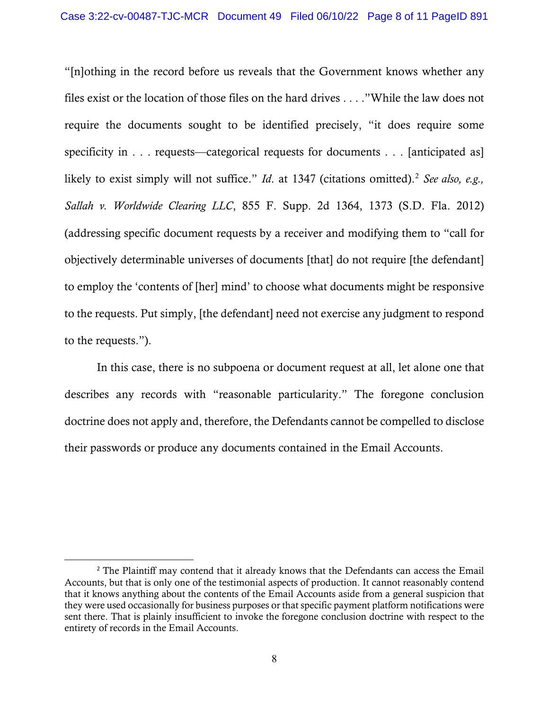"[n]othing in the record before us reveals that the Government knows whether any files exist or the location of those files on the hard drives . . . ."While the law does not require the documents sought to be identified precisely, "it does require some specificity in . . . requests—categorical requests for documents . . . [anticipated as] likely to exist simply will not suffice." *Id.* at 1347 (citations omitted).<sup>[2](#page-7-0)</sup> *See also, e.g.*, *Sallah v. Worldwide Clearing LLC*, 855 F. Supp. 2d 1364, 1373 (S.D. Fla. 2012) (addressing specific document requests by a receiver and modifying them to "call for objectively determinable universes of documents [that] do not require [the defendant] to employ the 'contents of [her] mind' to choose what documents might be responsive to the requests. Put simply, [the defendant] need not exercise any judgment to respond to the requests.").

In this case, there is no subpoena or document request at all, let alone one that describes any records with "reasonable particularity." The foregone conclusion doctrine does not apply and, therefore, the Defendants cannot be compelled to disclose their passwords or produce any documents contained in the Email Accounts.

<span id="page-7-0"></span><sup>&</sup>lt;sup>2</sup> The Plaintiff may contend that it already knows that the Defendants can access the Email Accounts, but that is only one of the testimonial aspects of production. It cannot reasonably contend that it knows anything about the contents of the Email Accounts aside from a general suspicion that they were used occasionally for business purposes or that specific payment platform notifications were sent there. That is plainly insufficient to invoke the foregone conclusion doctrine with respect to the entirety of records in the Email Accounts.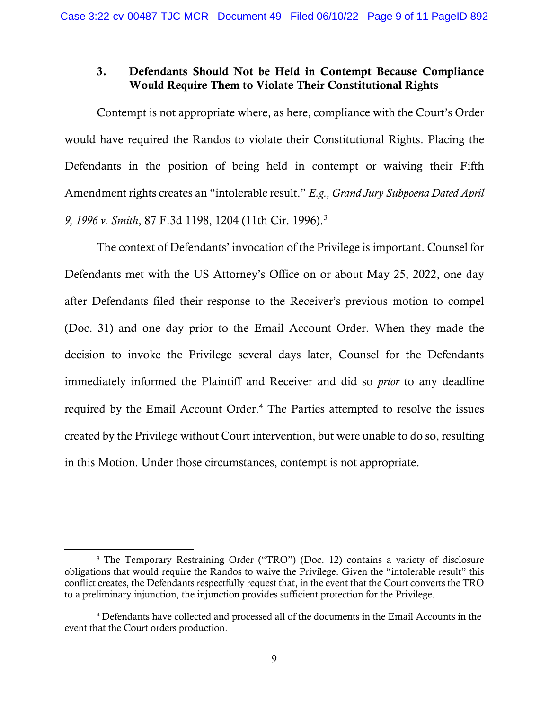## 3. Defendants Should Not be Held in Contempt Because Compliance Would Require Them to Violate Their Constitutional Rights

Contempt is not appropriate where, as here, compliance with the Court's Order would have required the Randos to violate their Constitutional Rights. Placing the Defendants in the position of being held in contempt or waiving their Fifth Amendment rights creates an "intolerable result." *E.g., Grand Jury Subpoena Dated April 9, 1996 v. Smith*, 87 F.3d 1198, 1204 (11th Cir. 1996). [3](#page-8-0)

The context of Defendants' invocation of the Privilege is important. Counsel for Defendants met with the US Attorney's Office on or about May 25, 2022, one day after Defendants filed their response to the Receiver's previous motion to compel (Doc. 31) and one day prior to the Email Account Order. When they made the decision to invoke the Privilege several days later, Counsel for the Defendants immediately informed the Plaintiff and Receiver and did so *prior* to any deadline required by the Email Account Order.<sup>[4](#page-8-1)</sup> The Parties attempted to resolve the issues created by the Privilege without Court intervention, but were unable to do so, resulting in this Motion. Under those circumstances, contempt is not appropriate.

<span id="page-8-0"></span><sup>&</sup>lt;sup>3</sup> The Temporary Restraining Order ("TRO") (Doc. 12) contains a variety of disclosure obligations that would require the Randos to waive the Privilege. Given the "intolerable result" this conflict creates, the Defendants respectfully request that, in the event that the Court converts the TRO to a preliminary injunction, the injunction provides sufficient protection for the Privilege.

<span id="page-8-1"></span><sup>4</sup> Defendants have collected and processed all of the documents in the Email Accounts in the event that the Court orders production.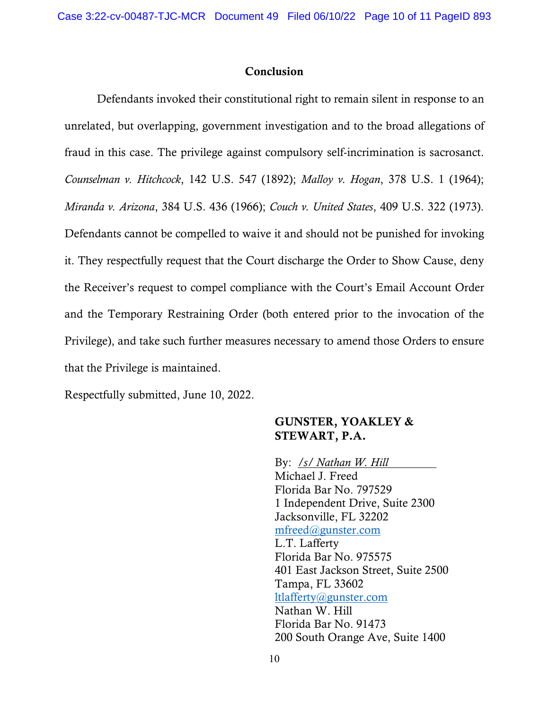### Conclusion

Defendants invoked their constitutional right to remain silent in response to an unrelated, but overlapping, government investigation and to the broad allegations of fraud in this case. The privilege against compulsory self-incrimination is sacrosanct. *Counselman v. Hitchcock*, 142 U.S. 547 (1892); *Malloy v. Hogan*, 378 U.S. 1 (1964); *Miranda v. Arizona*, 384 U.S. 436 (1966); *Couch v. United States*, 409 U.S. 322 (1973). Defendants cannot be compelled to waive it and should not be punished for invoking it. They respectfully request that the Court discharge the Order to Show Cause, deny the Receiver's request to compel compliance with the Court's Email Account Order and the Temporary Restraining Order (both entered prior to the invocation of the Privilege), and take such further measures necessary to amend those Orders to ensure that the Privilege is maintained.

Respectfully submitted, June 10, 2022.

### GUNSTER, YOAKLEY & STEWART, P.A.

By: */s/ Nathan W. Hill* Michael J. Freed Florida Bar No. 797529 1 Independent Drive, Suite 2300 Jacksonville, FL 32202 [mfreed@gunster.com](mailto:mfreed@gunster.com) L.T. Lafferty Florida Bar No. 975575 401 East Jackson Street, Suite 2500 Tampa, FL 33602 [ltlafferty@gunster.com](mailto:ltlafferty@gunster.com) Nathan W. Hill Florida Bar No. 91473 200 South Orange Ave, Suite 1400